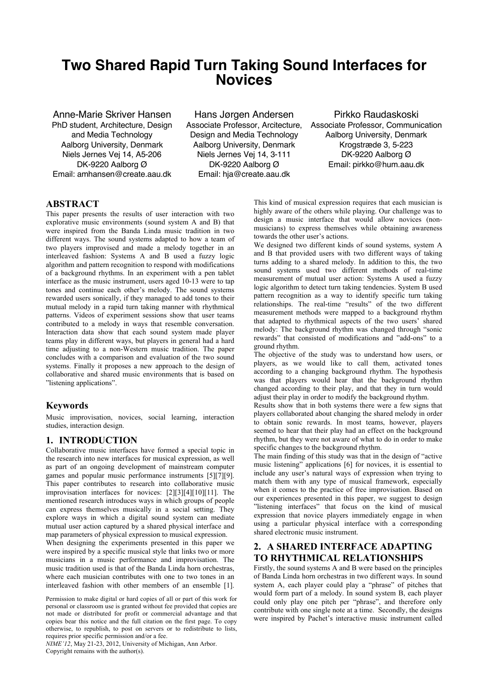# **Two Shared Rapid Turn Taking Sound Interfaces for Novices**

Anne-Marie Skriver Hansen PhD student, Architecture, Design and Media Technology Aalborg University, Denmark Niels Jernes Vej 14, A5-206 DK-9220 Aalborg Ø Email: amhansen@create.aau.dk

Hans Jørgen Andersen Associate Professor, Arcitecture, Design and Media Technology Aalborg University, Denmark Niels Jernes Vej 14, 3-111 DK-9220 Aalborg Ø Email: hja@create.aau.dk

Pirkko Raudaskoski Associate Professor, Communication Aalborg University, Denmark Krogstræde 3, 5-223 DK-9220 Aalborg Ø Email: pirkko@hum.aau.dk

## **ABSTRACT**

This paper presents the results of user interaction with two explorative music environments (sound system A and B) that were inspired from the Banda Linda music tradition in two different ways. The sound systems adapted to how a team of two players improvised and made a melody together in an interleaved fashion: Systems A and B used a fuzzy logic algorithm and pattern recognition to respond with modifications of a background rhythms. In an experiment with a pen tablet interface as the music instrument, users aged 10-13 were to tap tones and continue each other's melody. The sound systems rewarded users sonically, if they managed to add tones to their mutual melody in a rapid turn taking manner with rhythmical patterns. Videos of experiment sessions show that user teams contributed to a melody in ways that resemble conversation. Interaction data show that each sound system made player teams play in different ways, but players in general had a hard time adjusting to a non-Western music tradition. The paper concludes with a comparison and evaluation of the two sound systems. Finally it proposes a new approach to the design of collaborative and shared music environments that is based on "listening applications".

# **Keywords**

Music improvisation, novices, social learning, interaction studies, interaction design.

# **1. INTRODUCTION**

Collaborative music interfaces have formed a special topic in the research into new interfaces for musical expression, as well as part of an ongoing development of mainstream computer games and popular music performance instruments [5][7][9]. This paper contributes to research into collaborative music improvisation interfaces for novices: [2][3][4][10][11]. The mentioned research introduces ways in which groups of people can express themselves musically in a social setting. They explore ways in which a digital sound system can mediate mutual user action captured by a shared physical interface and map parameters of physical expression to musical expression.

When designing the experiments presented in this paper we were inspired by a specific musical style that links two or more musicians in a music performance and improvisation. The music tradition used is that of the Banda Linda horn orchestras. where each musician contributes with one to two tones in an interleaved fashion with other members of an ensemble [1].

Permission to make digital or hard copies of all or part of this work for personal or classroom use is granted without fee provided that copies are not made or distributed for profit or commercial advantage and that copies bear this notice and the full citation on the first page. To copy otherwise, to republish, to post on servers or to redistribute to lists, requires prior specific permission and/or a fee.

*NIME'12*, May 21-23, 2012, University of Michigan, Ann Arbor. Copyright remains with the author(s).

This kind of musical expression requires that each musician is highly aware of the others while playing. Our challenge was to design a music interface that would allow novices (nonmusicians) to express themselves while obtaining awareness towards the other user's actions.

We designed two different kinds of sound systems, system A and B that provided users with two different ways of taking turns adding to a shared melody. In addition to this, the two sound systems used two different methods of real-time measurement of mutual user action: Systems A used a fuzzy logic algorithm to detect turn taking tendencies. System B used pattern recognition as a way to identify specific turn taking relationships. The real-time "results" of the two different measurement methods were mapped to a background rhythm that adapted to rhythmical aspects of the two users' shared melody: The background rhythm was changed through "sonic rewards" that consisted of modifications and "add-ons" to a ground rhythm.

The objective of the study was to understand how users, or players, as we would like to call them, activated tones according to a changing background rhythm. The hypothesis was that players would hear that the background rhythm changed according to their play, and that they in turn would adjust their play in order to modify the background rhythm.

Results show that in both systems there were a few signs that players collaborated about changing the shared melody in order to obtain sonic rewards. In most teams, however, players seemed to hear that their play had an effect on the background rhythm, but they were not aware of what to do in order to make specific changes to the background rhythm.

The main finding of this study was that in the design of "active music listening" applications [6] for novices, it is essential to include any user's natural ways of expression when trying to match them with any type of musical framework, especially when it comes to the practice of free improvisation. Based on our experiences presented in this paper, we suggest to design "listening interfaces" that focus on the kind of musical expression that novice players immediately engage in when using a particular physical interface with a corresponding shared electronic music instrument.

# **2. A SHARED INTERFACE ADAPTING TO RHYTHMICAL RELATIONSHIPS**

Firstly, the sound systems A and B were based on the principles of Banda Linda horn orchestras in two different ways. In sound system A, each player could play a "phrase" of pitches that would form part of a melody. In sound system B, each player could only play one pitch per "phrase", and therefore only contribute with one single note at a time. Secondly, the designs were inspired by Pachet's interactive music instrument called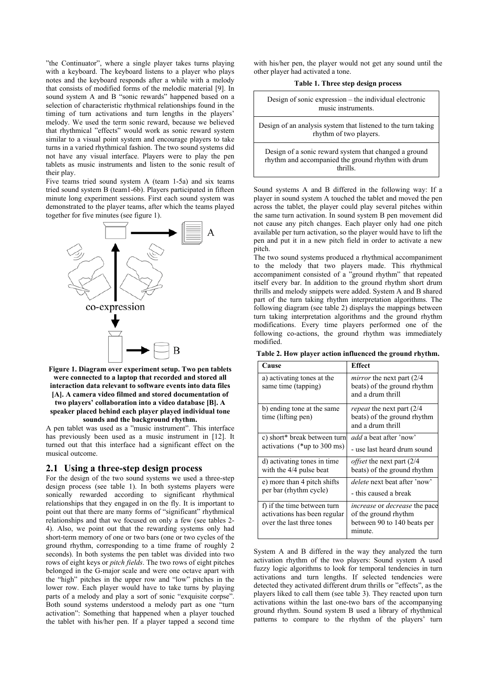"the Continuator", where a single player takes turns playing with a keyboard. The keyboard listens to a player who plays notes and the keyboard responds after a while with a melody that consists of modified forms of the melodic material [9]. In sound system A and B "sonic rewards" happened based on a selection of characteristic rhythmical relationships found in the timing of turn activations and turn lengths in the players' melody. We used the term sonic reward, because we believed that rhythmical "effects" would work as sonic reward system similar to a visual point system and encourage players to take turns in a varied rhythmical fashion. The two sound systems did not have any visual interface. Players were to play the pen tablets as music instruments and listen to the sonic result of their play.

Five teams tried sound system A (team 1-5a) and six teams tried sound system B (team1-6b). Players participated in fifteen minute long experiment sessions. First each sound system was demonstrated to the player teams, after which the teams played together for five minutes (see figure 1).



#### **were connected to a laptop that recorded and stored all interaction data relevant to software events into data files [A]. A camera video filmed and stored documentation of two players' collaboration into a video database [B]. A speaker placed behind each player played individual tone sounds and the background rhythm.**

A pen tablet was used as a "music instrument". This interface has previously been used as a music instrument in [12]. It turned out that this interface had a significant effect on the musical outcome.

#### **2.1 Using a three-step design process**

For the design of the two sound systems we used a three-step design process (see table 1). In both systems players were sonically rewarded according to significant rhythmical relationships that they engaged in on the fly. It is important to point out that there are many forms of "significant" rhythmical relationships and that we focused on only a few (see tables 2- 4). Also, we point out that the rewarding systems only had short-term memory of one or two bars (one or two cycles of the ground rhythm, corresponding to a time frame of roughly 2 seconds). In both systems the pen tablet was divided into two rows of eight keys or *pitch fields*. The two rows of eight pitches belonged in the G-major scale and were one octave apart with the "high" pitches in the upper row and "low" pitches in the lower row. Each player would have to take turns by playing parts of a melody and play a sort of sonic "exquisite corpse". Both sound systems understood a melody part as one "turn activation": Something that happened when a player touched the tablet with his/her pen. If a player tapped a second time

with his/her pen, the player would not get any sound until the other player had activated a tone. **Table 1. Three step design process**

| Design of sonic expression – the individual electronic<br>music instruments                                            |
|------------------------------------------------------------------------------------------------------------------------|
| Design of an analysis system that listened to the turn taking<br>rhythm of two players.                                |
| Design of a sonic reward system that changed a ground<br>rhythm and accompanied the ground rhythm with drum<br>thrills |

Sound systems A and B differed in the following way: If a player in sound system A touched the tablet and moved the pen across the tablet, the player could play several pitches within the same turn activation. In sound system B pen movement did not cause any pitch changes. Each player only had one pitch available per turn activation, so the player would have to lift the pen and put it in a new pitch field in order to activate a new pitch.

The two sound systems produced a rhythmical accompaniment to the melody that two players made. This rhythmical accompaniment consisted of a "ground rhythm" that repeated itself every bar. In addition to the ground rhythm short drum thrills and melody snippets were added. System A and B shared part of the turn taking rhythm interpretation algorithms. The following diagram (see table 2) displays the mappings between turn taking interpretation algorithms and the ground rhythm modifications. Every time players performed one of the following co-actions, the ground rhythm was immediately modified.

**Table 2. How player action influenced the ground rhythm.**

| Cause                                                                                    | <b>Effect</b>                                                                                                 |  |  |  |  |
|------------------------------------------------------------------------------------------|---------------------------------------------------------------------------------------------------------------|--|--|--|--|
| a) activating tones at the<br>same time (tapping)                                        | <i>mirror</i> the next part (2/4)<br>beats) of the ground rhythm<br>and a drum thrill                         |  |  |  |  |
| b) ending tone at the same<br>time (lifting pen)                                         | <i>repeat</i> the next part (2/4)<br>beats) of the ground rhythm<br>and a drum thrill                         |  |  |  |  |
| c) short* break between turn<br>activations ( $*$ up to 300 ms)                          | <i>add</i> a beat after 'now'                                                                                 |  |  |  |  |
|                                                                                          | - use last heard drum sound                                                                                   |  |  |  |  |
| d) activating tones in time<br>with the 4/4 pulse beat                                   | <i>offset</i> the next part (2/4)<br>beats) of the ground rhythm                                              |  |  |  |  |
| e) more than 4 pitch shifts                                                              | <i>delete</i> next beat after 'now'                                                                           |  |  |  |  |
| per bar (rhythm cycle)                                                                   | - this caused a break                                                                                         |  |  |  |  |
| f) if the time between turn<br>activations has been regular<br>over the last three tones | <i>increase</i> or <i>decrease</i> the pace<br>of the ground rhythm<br>between 90 to 140 beats per<br>minute. |  |  |  |  |

System A and B differed in the way they analyzed the turn activation rhythm of the two players: Sound system A used fuzzy logic algorithms to look for temporal tendencies in turn activations and turn lengths. If selected tendencies were detected they activated different drum thrills or "effects", as the players liked to call them (see table 3). They reacted upon turn activations within the last one-two bars of the accompanying ground rhythm. Sound system B used a library of rhythmical patterns to compare to the rhythm of the players' turn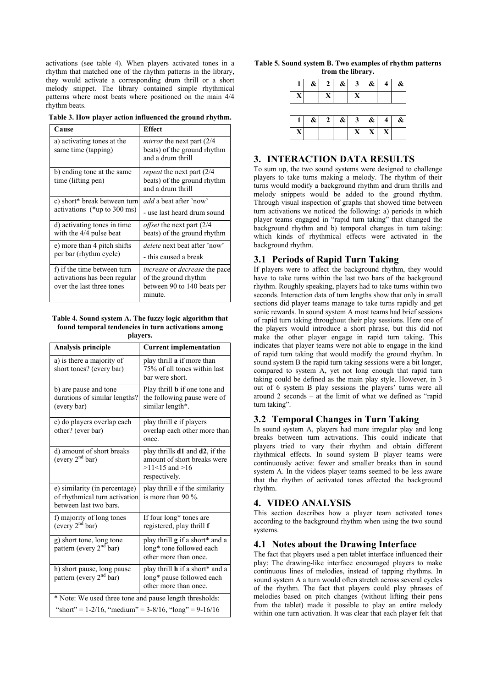activations (see table 4). When players activated tones in a rhythm that matched one of the rhythm patterns in the library, they would activate a corresponding drum thrill or a short melody snippet. The library contained simple rhythmical patterns where most beats where positioned on the main 4/4 rhythm beats.

**Table 3. How player action influenced the ground rhythm.**

| Cause                                             | <b>Effect</b>                                                                         |  |  |  |  |
|---------------------------------------------------|---------------------------------------------------------------------------------------|--|--|--|--|
| a) activating tones at the<br>same time (tapping) | <i>mirror</i> the next part (2/4)<br>beats) of the ground rhythm<br>and a drum thrill |  |  |  |  |
| b) ending tone at the same<br>time (lifting pen)  | <i>repeat</i> the next part (2/4)<br>beats) of the ground rhythm<br>and a drum thrill |  |  |  |  |
| c) short* break between turn                      | <i>add</i> a beat after 'now'                                                         |  |  |  |  |
| activations ( $*$ up to 300 ms)                   | - use last heard drum sound                                                           |  |  |  |  |
| d) activating tones in time                       | <i>offset</i> the next part (2/4)                                                     |  |  |  |  |
| with the 4/4 pulse beat                           | beats) of the ground rhythm                                                           |  |  |  |  |
| e) more than 4 pitch shifts                       | <i>delete</i> next beat after 'now'                                                   |  |  |  |  |
| per bar (rhythm cycle)                            | - this caused a break                                                                 |  |  |  |  |
| f) if the time between turn                       | <i>increase</i> or <i>decrease</i> the pace                                           |  |  |  |  |
| activations has been regular                      | of the ground rhythm                                                                  |  |  |  |  |
| over the last three tones                         | between 90 to 140 beats per<br>minute.                                                |  |  |  |  |

#### **Table 4. Sound system A. The fuzzy logic algorithm that found temporal tendencies in turn activations among players.**

| <b>Analysis principle</b>                                                                | <b>Current implementation</b>                                                                                       |  |  |  |  |  |  |
|------------------------------------------------------------------------------------------|---------------------------------------------------------------------------------------------------------------------|--|--|--|--|--|--|
| a) is there a majority of<br>short tones? (every bar)                                    | play thrill a if more than<br>75% of all tones within last<br>bar were short.                                       |  |  |  |  |  |  |
| b) are pause and tone<br>durations of similar lengths?<br>(every bar)                    | Play thrill <b>b</b> if one tone and<br>the following pause were of<br>similar length*.                             |  |  |  |  |  |  |
| c) do players overlap each<br>other? (ever bar)                                          | play thrill c if players<br>overlap each other more than<br>once.                                                   |  |  |  |  |  |  |
| d) amount of short breaks<br>(every $2nd$ bar)                                           | play thrills <b>d1</b> and <b>d2</b> , if the<br>amount of short breaks were<br>$>11<15$ and $>16$<br>respectively. |  |  |  |  |  |  |
| e) similarity (in percentage)<br>of rhythmical turn activation<br>between last two bars. | play thrill e if the similarity<br>is more than 90 $\%$ .                                                           |  |  |  |  |  |  |
| f) majority of long tones<br>(every $2nd$ bar)                                           | If four long* tones are<br>registered, play thrill f                                                                |  |  |  |  |  |  |
| g) short tone, long tone<br>pattern (every 2 <sup>nd</sup> bar)                          | play thrill <b>g</b> if a short* and a<br>long* tone followed each<br>other more than once.                         |  |  |  |  |  |  |
| h) short pause, long pause<br>pattern (every 2 <sup>nd</sup> bar)                        | play thrill <b>h</b> if a short* and a<br>long* pause followed each<br>other more than once.                        |  |  |  |  |  |  |
| * Note: We used three tone and pause length thresholds:                                  |                                                                                                                     |  |  |  |  |  |  |
| "short" = $1-2/16$ , "medium" = $3-8/16$ , "long" = $9-16/16$                            |                                                                                                                     |  |  |  |  |  |  |

|                   |  |  |  |  |  | Table 5. Sound system B. Two examples of rhythm patterns |  |  |  |
|-------------------|--|--|--|--|--|----------------------------------------------------------|--|--|--|
| from the library. |  |  |  |  |  |                                                          |  |  |  |

|             | & | 2            | & | 3 | & | 4 | & |
|-------------|---|--------------|---|---|---|---|---|
| X           |   | X            |   | X |   |   |   |
|             |   |              |   |   |   |   |   |
|             | & | $\mathbf{2}$ | & | 3 | & | 4 | & |
| $\mathbf X$ |   |              |   | X | X | X |   |

#### **3. INTERACTION DATA RESULTS**

To sum up, the two sound systems were designed to challenge players to take turns making a melody. The rhythm of their turns would modify a background rhythm and drum thrills and melody snippets would be added to the ground rhythm. Through visual inspection of graphs that showed time between turn activations we noticed the following: a) periods in which player teams engaged in "rapid turn taking" that changed the background rhythm and b) temporal changes in turn taking: which kinds of rhythmical effects were activated in the background rhythm.

### **3.1 Periods of Rapid Turn Taking**

If players were to affect the background rhythm, they would have to take turns within the last two bars of the background rhythm. Roughly speaking, players had to take turns within two seconds. Interaction data of turn lengths show that only in small sections did player teams manage to take turns rapidly and get sonic rewards. In sound system A most teams had brief sessions of rapid turn taking throughout their play sessions. Here one of the players would introduce a short phrase, but this did not make the other player engage in rapid turn taking. This indicates that player teams were not able to engage in the kind of rapid turn taking that would modify the ground rhythm. In sound system B the rapid turn taking sessions were a bit longer, compared to system A, yet not long enough that rapid turn taking could be defined as the main play style. However, in 3 out of 6 system B play sessions the players' turns were all around 2 seconds – at the limit of what we defined as "rapid turn taking".

## **3.2 Temporal Changes in Turn Taking**

In sound system A, players had more irregular play and long breaks between turn activations. This could indicate that players tried to vary their rhythm and obtain different rhythmical effects. In sound system B player teams were continuously active: fewer and smaller breaks than in sound system A. In the videos player teams seemed to be less aware that the rhythm of activated tones affected the background rhythm.

### **4. VIDEO ANALYSIS**

This section describes how a player team activated tones according to the background rhythm when using the two sound systems.

### **4.1 Notes about the Drawing Interface**

The fact that players used a pen tablet interface influenced their play: The drawing-like interface encouraged players to make continuous lines of melodies, instead of tapping rhythms. In sound system A a turn would often stretch across several cycles of the rhythm. The fact that players could play phrases of melodies based on pitch changes (without lifting their pens from the tablet) made it possible to play an entire melody within one turn activation. It was clear that each player felt that